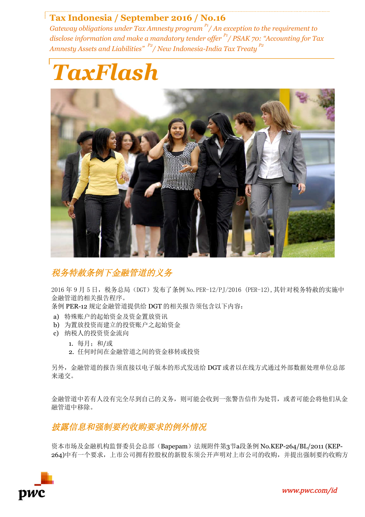# **Tax Indonesia / September 2016 / No.16**

*Gateway obligations under Tax Amnesty program P1/ An exception to the requirement to disclose information and make a mandatory tender offer*  $\frac{P_1}{P_1}$  *PSAK 70: "Accounting for Tax Amnesty Assets and Liabilities" P2/ New Indonesia-India Tax Treaty P2*





# 税务特赦条例下金融管道的义务

2016 年 9 月 5 日, 税务总局(DGT)发布了条例 No. PER-12/PI/2016 (PER-12), 其针对税务特赦的实施中 金融管道的相关报告程序。

条例 PER-12 规定金融管道提供给 DGT 的相关报告须包含以下内容:

- a) 特殊账户的起始资金及资金置放资讯
- b) 为置放投资而建立的投资账户之起始资金
- c) 纳税人的投资资金流向
	- 1. 每月;和/或
	- 2. 任何时间在金融管道之间的资金移转或投资

另外,金融管道的报告须直接以电子版本的形式发送给 DGT 或者以在线方式通过外部数据处理单位总部 来递交。

金融管道中若有人没有完全尽到自己的义务,则可能会收到一张警告信作为处罚,或者可能会将他们从金 融管道中移除。

披露信息和强制要约收购要求的例外情况

资本市场及金融机构监督委员会总部(Bapepam)法规附件第3节a段条例 No.KEP-264/BL/2011 (KEP-264)中有一个要求,上市公司拥有控股权的新股东须公开声明对上市公司的收购,并提出强制要约收购方



![](_page_0_Picture_17.jpeg)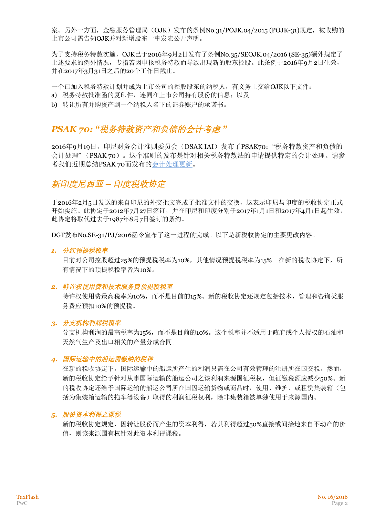案。另外一方面,金融服务管理局(OJK)发布的条例No.31/POJK.04/2015 (POJK-31)规定,被收购的 上市公司需告知OJK并对新增股东一事发表公开声明。

为了支持税务特赦实施, OJK已于2016年9月2日发布了条例No.35/SEOJK.04/2016 (SE-35)额外规定了 上述要求的例外情况,专指若因申报税务特赦而导致出现新的股东控股。此条例于2016年9月2日生效, 并在2017年3月31日之后的20个工作日截止。

一个已加入税务特赦计划并成为上市公司的控股股东的纳税人,有义务上交给OJK以下文件:

- a) 税务特赦批准函的复印件,连同在上市公司持有股份的信息;以及
- b) 转让所有并购资产到一个纳税人名下的证券账户的承诺书。

# *PSAK 70: "*税务特赦资产和负债的会计考虑 *"*

2016年9月19日, 印尼财务会计准则委员会(DSAK IAI)发布了PSAK70: "税务特赦资产和负债的 会计处理" (PSAK 70)。这个准则的发布是针对相关税务特赦法的申请提供特定的会计处理。请参 考我们近期总结PSAK 70而发布的会计处理更新。

## 新印度尼西**亚** *–* 印度税收**协**定

于2016年2月5日发送的来自印尼的外交批文完成了批准文件的交换,这表示印尼与印度的税收协定正式 开始实施。此协定于2012年7月27日签订,并在印尼和印度分别于2017年1月1日和2017年4月1日起生效, 此协定将取代过去于1987年8月7日签订的条约。

DGT发布No.SE-31/PJ/2016函令宣布了这一进程的完成。以下是新税收协定的主要更改内容。

#### *1.* 分红预提税税率

目前对公司控股超过25%的预提税税率为10%,其他情况预提税税率为15%。在新的税收协定下,所 有情况下的预提税税率皆为10%。

#### *2.* 特许权使用费和技术服务费预提税税率

特许权使用费最高税率为10%,而不是目前的15%。新的税收协定还规定包括技术,管理和咨询类服 务费应预扣10%的预提税。

#### *3.* 分支机构利润税税率

分支机构利润的最高税率为15%,而不是目前的10%。这个税率并不适用于政府或个人授权的石油和 天然气生产及出口相关的产量分成合同。

#### *4.* 国际运输中的船运需缴纳的税种

在新的税收协定下,国际运输中的船运所产生的利润只需在公司有效管理的注册所在国交税。然而, 新的税收协定给予针对从事国际运输的船运公司之该利润来源国征税权,但征缴税额应减少50%。新 的税收协定还给予国际运输的船运公司所在国因运输货物或商品时,使用、维护、或租赁集装箱(包 括为集装箱运输的拖车等设备)取得的利润征税权利,除非集装箱被单独使用于来源国内。

#### *5.* 股份资本利得之课税

新的税收协定规定,因转让股份而产生的资本利得,若其利得超过50%直接或间接地来自不动产的价 值,则该来源国有权针对此资本利得课税。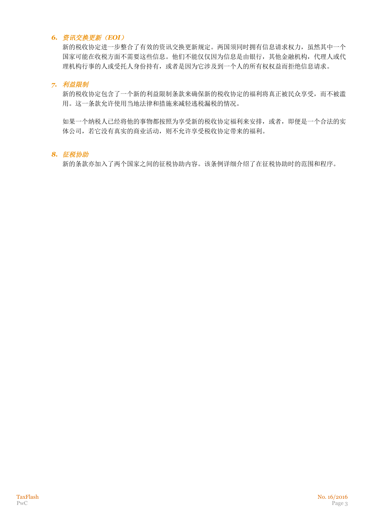### *6.* 资讯交换更新(*EOI*)

新的税收协定进一步整合了有效的资讯交换更新规定。两国须同时拥有信息请求权力,虽然其中一个 国家可能在收税方面不需要这些信息。他们不能仅仅因为信息是由银行,其他金融机构,代理人或代 理机构行事的人或受托人身份持有,或者是因为它涉及到一个人的所有权权益而拒绝信息请求。

### *7.* 利益限制

新的税收协定包含了一个新的利益限制条款来确保新的税收协定的福利将真正被民众享受,而不被滥 用。这一条款允许使用当地法律和措施来减轻逃税漏税的情况。

如果一个纳税人已经将他的事物都按照为享受新的税收协定福利来安排,或者,即便是一个合法的实 体公司,若它没有真实的商业活动,则不允许享受税收协定带来的福利。

#### *8.* 征税协助

新的条款亦加入了两个国家之间的征税协助内容。该条例详细介绍了在征税协助时的范围和程序。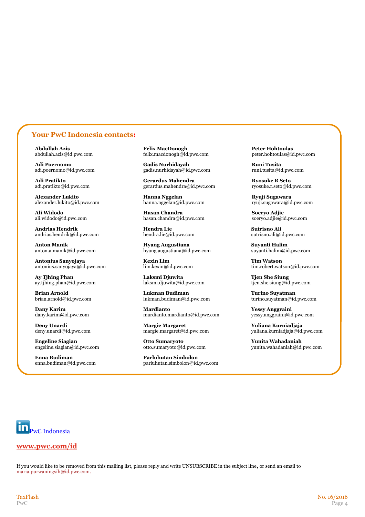### **Your PwC Indonesia contacts:**

**Alexander Lukito Hanna Nggelan Ryuji Sugawara**

**Andrias Hendrik Hendra Lie Sutrisno Ali** andrias.hendrik@id.pwc.com

**Antonius Sanyojaya Kexin Lim**<br> **Kexin Lim Kexin Cim**<br>
lim.kexin@id.pwc.com 
<br>
lim.kexin@id.pwc.com 
<br> **Kexin Lim Integral com** 
<br> **Integral com Integral com Integral com Integral com Integral com Inte** antonius.sanyojaya@id.pwc.com

ay.tjhing.phan@id.pwc.com

**Engeline Siagian Otto Sumaryoto Yunita Wahadaniah**

**Enna Budiman Parluhutan Simbolon**

**Abdullah Azis Felix MacDonogh Peter Hohtoulas** abdullah.azis@id.pwc.com felix.macdonogh@id.pwc.com peter.hohtoulas@id.pwc.com

**Adi Poernomo Gadis Nurhidayah Runi Tusita** gadis.nurhidayah@id.pwc.com

**Adi Pratikto Gerardus Mahendra Ryosuke R Seto**  $\text{gerardus.mahendra@id.bwc.com}$ 

hanna.nggelan@id.pwc.com

Ali Widodo<br> **Ali Widodo Hasan Chandra Hasan Chandra Soeryo Adjie**<br>
hasan.chandra@id.pwc.com<br>
hasan.chandra@id.pwc.com<br>
soeryo.adjie@id.pwc.com hasan.chandra@id.pwc.com

**Anton Manik Anton Manik Hyang Augustiana Hyang Augustiana Suyanti Halim Support Alim Support Alim Anton.a.manik@id.pwc.com hyang.augustiana@id.pwc.com Support Alim Support Alim** hyang.augustiana@id.pwc.com

**Ay Tjhing Phan Laksmi Djuwita Laksmi Djuwita Tjen She Siung ay Type She Siung ay thing.phan@id.pwc.com** laksmi.djuwita@id.pwc.com **the She** siung@id.pwc.com

**Brian Arnold**<br> **Brian Arnold**<br> **Lukman Budiman and Turino Suyatman** brian.arnold@id.pwc.com<br> **Lukman.budiman@id.pwc.com**<br> **Lukman.budiman@id.pwc.com** 

**Dany Karim Mardianto Yessy Anggraini** dany.karim@id.pwc.com mardianto.mardianto@id.pwc.com yessy.anggraini@id.pwc.com

**Deny Unardi Margie Margaret Yuliana Kurniadjaja**

enna.budiman@id.pwc.com parluhutan.simbolon@id.pwc.com

brian.arnold@id.pwc.com lukman.budiman@id.pwc.com turino.suyatman@id.pwc.com

deny.unardi@id.pwc.com margie.margaret@id.pwc.com yuliana.kurniadjaja@id.pwc.com

engeline.siagian@id.pwc.com otto.sumaryoto@id.pwc.com yunita.wahadaniah@id.pwc.com

PwC Indonesia

#### **www.pwc.com/id**

If you would like to be removed from this mailing list, please reply and write UNSUBSCRIBE in the subject line**,** or send an email to maria.purwaningsih@id.pwc.com.